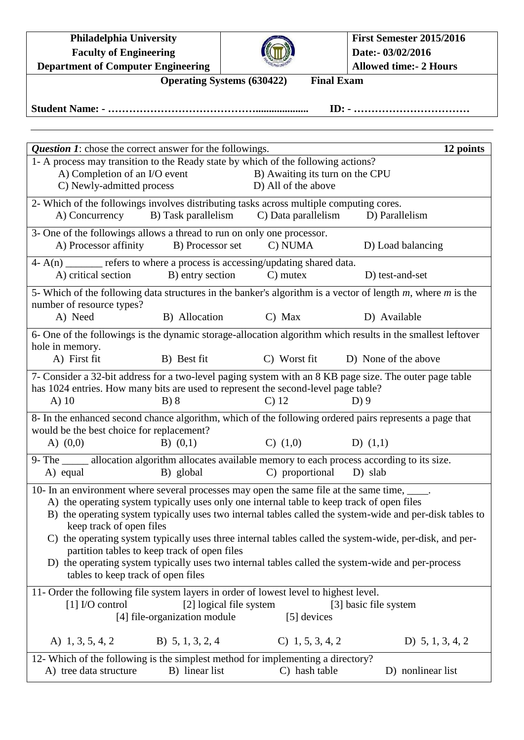**Philadelphia University Faculty of Engineering Department of Computer Engineering**



**Operating Systems (630422)** Final Exam

**Student Name: - …………………………………….................... ID: - ……………………………**

| <b>Question 1:</b> chose the correct answer for the followings.                                                                                              |                     |                                 | 12 points                                                                                                |  |  |  |
|--------------------------------------------------------------------------------------------------------------------------------------------------------------|---------------------|---------------------------------|----------------------------------------------------------------------------------------------------------|--|--|--|
| 1- A process may transition to the Ready state by which of the following actions?                                                                            |                     |                                 |                                                                                                          |  |  |  |
| A) Completion of an I/O event                                                                                                                                |                     | B) Awaiting its turn on the CPU |                                                                                                          |  |  |  |
| C) Newly-admitted process                                                                                                                                    |                     | D) All of the above             |                                                                                                          |  |  |  |
| 2- Which of the followings involves distributing tasks across multiple computing cores.                                                                      |                     |                                 |                                                                                                          |  |  |  |
| A) Concurrency                                                                                                                                               | B) Task parallelism | C) Data parallelism             | D) Parallelism                                                                                           |  |  |  |
| 3- One of the followings allows a thread to run on only one processor.                                                                                       |                     |                                 |                                                                                                          |  |  |  |
| A) Processor affinity                                                                                                                                        | B) Processor set    | C) NUMA                         | D) Load balancing                                                                                        |  |  |  |
| $4 - A(n)$ refers to where a process is accessing/updating shared data.                                                                                      |                     |                                 |                                                                                                          |  |  |  |
| A) critical section B) entry section                                                                                                                         |                     | $C)$ mutex                      | D) test-and-set                                                                                          |  |  |  |
| 5- Which of the following data structures in the banker's algorithm is a vector of length $m$ , where $m$ is the<br>number of resource types?                |                     |                                 |                                                                                                          |  |  |  |
| A) Need                                                                                                                                                      | B) Allocation       | $C)$ Max                        | D) Available                                                                                             |  |  |  |
| 6- One of the followings is the dynamic storage-allocation algorithm which results in the smallest leftover                                                  |                     |                                 |                                                                                                          |  |  |  |
| hole in memory.                                                                                                                                              |                     |                                 |                                                                                                          |  |  |  |
| A) First fit                                                                                                                                                 | B) Best fit         | C) Worst fit                    | D) None of the above                                                                                     |  |  |  |
|                                                                                                                                                              |                     |                                 | 7- Consider a 32-bit address for a two-level paging system with an 8 KB page size. The outer page table  |  |  |  |
| has 1024 entries. How many bits are used to represent the second-level page table?                                                                           |                     |                                 |                                                                                                          |  |  |  |
| $A)$ 10                                                                                                                                                      | B) 8                | $C$ ) 12                        | $D$ ) 9                                                                                                  |  |  |  |
| 8- In the enhanced second chance algorithm, which of the following ordered pairs represents a page that                                                      |                     |                                 |                                                                                                          |  |  |  |
| would be the best choice for replacement?                                                                                                                    |                     |                                 |                                                                                                          |  |  |  |
| A) $(0,0)$                                                                                                                                                   | $B)$ $(0,1)$        | $C)$ $(1,0)$                    | D) $(1,1)$                                                                                               |  |  |  |
| 9- The ______ allocation algorithm allocates available memory to each process according to its size.                                                         |                     |                                 |                                                                                                          |  |  |  |
| A) equal                                                                                                                                                     | B) global           | C) proportional                 | D) slab                                                                                                  |  |  |  |
| 10- In an environment where several processes may open the same file at the same time, _____.                                                                |                     |                                 |                                                                                                          |  |  |  |
| A) the operating system typically uses only one internal table to keep track of open files                                                                   |                     |                                 |                                                                                                          |  |  |  |
|                                                                                                                                                              |                     |                                 | B) the operating system typically uses two internal tables called the system-wide and per-disk tables to |  |  |  |
| keep track of open files                                                                                                                                     |                     |                                 |                                                                                                          |  |  |  |
|                                                                                                                                                              |                     |                                 | C) the operating system typically uses three internal tables called the system-wide, per-disk, and per-  |  |  |  |
| partition tables to keep track of open files<br>D) the operating system typically uses two internal tables called the system-wide and per-process            |                     |                                 |                                                                                                          |  |  |  |
| tables to keep track of open files                                                                                                                           |                     |                                 |                                                                                                          |  |  |  |
|                                                                                                                                                              |                     |                                 |                                                                                                          |  |  |  |
| 11- Order the following file system layers in order of lowest level to highest level.<br>[1] I/O control<br>[2] logical file system<br>[3] basic file system |                     |                                 |                                                                                                          |  |  |  |
| [4] file-organization module<br>[5] devices                                                                                                                  |                     |                                 |                                                                                                          |  |  |  |
|                                                                                                                                                              |                     |                                 |                                                                                                          |  |  |  |
| A) 1, 3, 5, 4, 2                                                                                                                                             | B) $5, 1, 3, 2, 4$  | $C)$ 1, 5, 3, 4, 2              | D) $5, 1, 3, 4, 2$                                                                                       |  |  |  |
| 12- Which of the following is the simplest method for implementing a directory?                                                                              |                     |                                 |                                                                                                          |  |  |  |
| A) tree data structure                                                                                                                                       | B) linear list      | C) hash table                   | D) nonlinear list                                                                                        |  |  |  |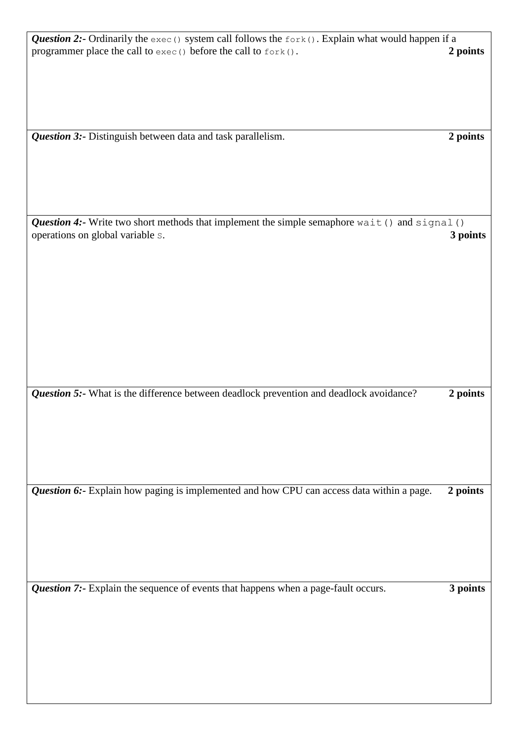| <i>Question 2:</i> - Ordinarily the $e^{\chi}e^{\chi}$ () system call follows the $f^{\text{opt}}$ (). Explain what would happen if a<br>programmer place the call to exec () before the call to fork(). | 2 points |
|----------------------------------------------------------------------------------------------------------------------------------------------------------------------------------------------------------|----------|
|                                                                                                                                                                                                          |          |
| Question 3:- Distinguish between data and task parallelism.                                                                                                                                              | 2 points |
|                                                                                                                                                                                                          |          |
|                                                                                                                                                                                                          |          |
|                                                                                                                                                                                                          |          |
| Question 4:- Write two short methods that implement the simple semaphore wait () and signal ()<br>operations on global variable s.                                                                       | 3 points |
|                                                                                                                                                                                                          |          |
|                                                                                                                                                                                                          |          |
|                                                                                                                                                                                                          |          |
|                                                                                                                                                                                                          |          |
|                                                                                                                                                                                                          |          |
|                                                                                                                                                                                                          |          |
| Question 5:- What is the difference between deadlock prevention and deadlock avoidance?                                                                                                                  | 2 points |
|                                                                                                                                                                                                          |          |
|                                                                                                                                                                                                          |          |
|                                                                                                                                                                                                          |          |
| Question 6:- Explain how paging is implemented and how CPU can access data within a page.                                                                                                                | 2 points |
|                                                                                                                                                                                                          |          |
|                                                                                                                                                                                                          |          |
|                                                                                                                                                                                                          |          |
| Question 7:- Explain the sequence of events that happens when a page-fault occurs.                                                                                                                       | 3 points |
|                                                                                                                                                                                                          |          |
|                                                                                                                                                                                                          |          |
|                                                                                                                                                                                                          |          |